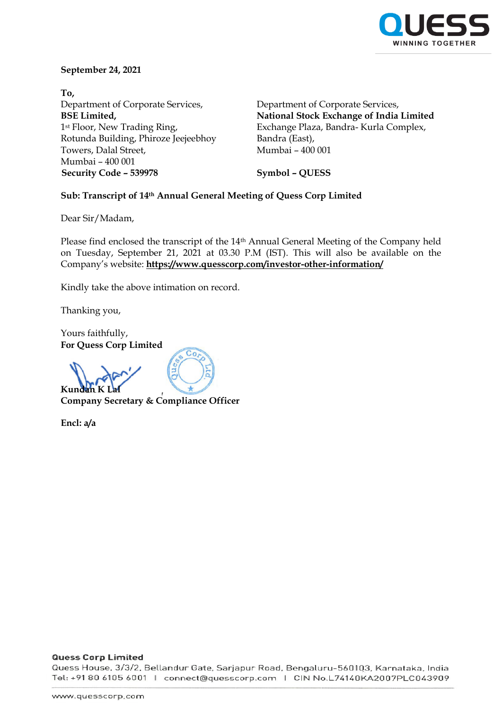

#### **September 24, 2021**

**To,** Department of Corporate Services, **BSE Limited,** 1st Floor, New Trading Ring, Rotunda Building, Phiroze Jeejeebhoy Towers, Dalal Street, Mumbai – 400 001 **Security Code – 539978 Symbol – QUESS**

Department of Corporate Services, **National Stock Exchange of India Limited** Exchange Plaza, Bandra- Kurla Complex, Bandra (East), Mumbai – 400 001

## **Sub: Transcript of 14th Annual General Meeting of Quess Corp Limited**

Dear Sir/Madam,

Please find enclosed the transcript of the 14<sup>th</sup> Annual General Meeting of the Company held on Tuesday, September 21, 2021 at 03.30 P.M (IST). This will also be available on the Company's website: **https://www.quesscorp.com/investor-other-information/**

Kindly take the above intimation on record.

Thanking you,

Yours faithfully, **For Quess Corp Limited** 

**K**<sub>11</sub>n

**Company Secretary & Compliance Officer**

**Encl: a/a**

#### **Quess Corp Limited**

Quess House, 3/3/2, Bellandur Gate, Sarjapur Road, Bengaluru-560103, Karnataka, India Tel: +91 80 6105 6001 | connect@quesscorp.com | CIN No.L74140KA2007PLC043909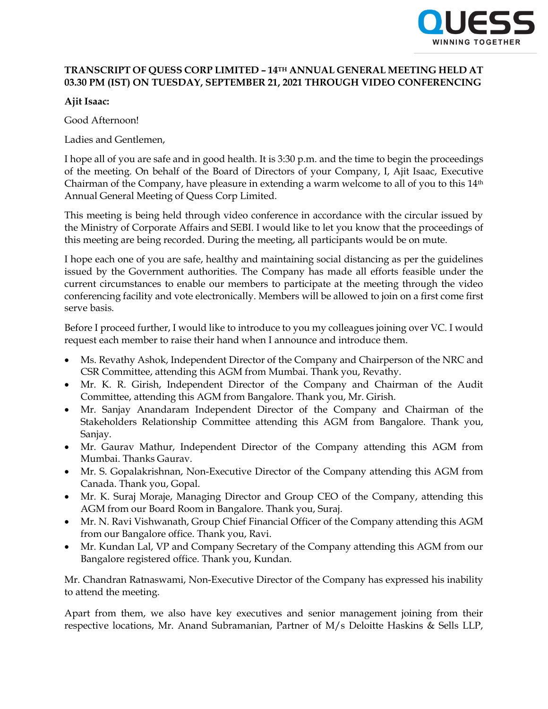

## **TRANSCRIPT OF QUESS CORP LIMITED – 14TH ANNUAL GENERAL MEETING HELD AT 03.30 PM (IST) ON TUESDAY, SEPTEMBER 21, 2021 THROUGH VIDEO CONFERENCING**

**Ajit Isaac:**

Good Afternoon!

Ladies and Gentlemen,

I hope all of you are safe and in good health. It is 3:30 p.m. and the time to begin the proceedings of the meeting. On behalf of the Board of Directors of your Company, I, Ajit Isaac, Executive Chairman of the Company, have pleasure in extending a warm welcome to all of you to this 14th Annual General Meeting of Quess Corp Limited.

This meeting is being held through video conference in accordance with the circular issued by the Ministry of Corporate Affairs and SEBI. I would like to let you know that the proceedings of this meeting are being recorded. During the meeting, all participants would be on mute.

I hope each one of you are safe, healthy and maintaining social distancing as per the guidelines issued by the Government authorities. The Company has made all efforts feasible under the current circumstances to enable our members to participate at the meeting through the video conferencing facility and vote electronically. Members will be allowed to join on a first come first serve basis.

Before I proceed further, I would like to introduce to you my colleagues joining over VC. I would request each member to raise their hand when I announce and introduce them.

- Ms. Revathy Ashok, Independent Director of the Company and Chairperson of the NRC and CSR Committee, attending this AGM from Mumbai. Thank you, Revathy.
- Mr. K. R. Girish, Independent Director of the Company and Chairman of the Audit Committee, attending this AGM from Bangalore. Thank you, Mr. Girish.
- Mr. Sanjay Anandaram Independent Director of the Company and Chairman of the Stakeholders Relationship Committee attending this AGM from Bangalore. Thank you, Sanjay.
- Mr. Gaurav Mathur, Independent Director of the Company attending this AGM from Mumbai. Thanks Gaurav.
- Mr. S. Gopalakrishnan, Non-Executive Director of the Company attending this AGM from Canada. Thank you, Gopal.
- Mr. K. Suraj Moraje, Managing Director and Group CEO of the Company, attending this AGM from our Board Room in Bangalore. Thank you, Suraj.
- Mr. N. Ravi Vishwanath, Group Chief Financial Officer of the Company attending this AGM from our Bangalore office. Thank you, Ravi.
- Mr. Kundan Lal, VP and Company Secretary of the Company attending this AGM from our Bangalore registered office. Thank you, Kundan.

Mr. Chandran Ratnaswami, Non-Executive Director of the Company has expressed his inability to attend the meeting.

Apart from them, we also have key executives and senior management joining from their respective locations, Mr. Anand Subramanian, Partner of M/s Deloitte Haskins & Sells LLP,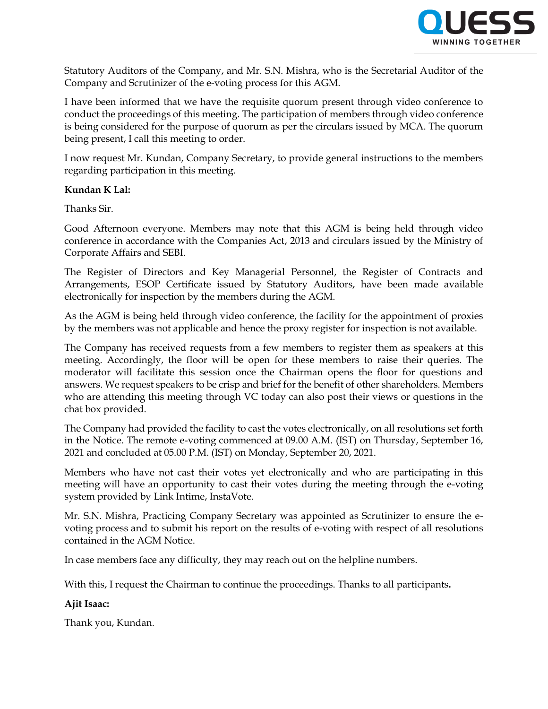

Statutory Auditors of the Company, and Mr. S.N. Mishra, who is the Secretarial Auditor of the Company and Scrutinizer of the e-voting process for this AGM.

I have been informed that we have the requisite quorum present through video conference to conduct the proceedings of this meeting. The participation of members through video conference is being considered for the purpose of quorum as per the circulars issued by MCA. The quorum being present, I call this meeting to order.

I now request Mr. Kundan, Company Secretary, to provide general instructions to the members regarding participation in this meeting.

## **Kundan K Lal:**

Thanks Sir.

Good Afternoon everyone. Members may note that this AGM is being held through video conference in accordance with the Companies Act, 2013 and circulars issued by the Ministry of Corporate Affairs and SEBI.

The Register of Directors and Key Managerial Personnel, the Register of Contracts and Arrangements, ESOP Certificate issued by Statutory Auditors, have been made available electronically for inspection by the members during the AGM.

As the AGM is being held through video conference, the facility for the appointment of proxies by the members was not applicable and hence the proxy register for inspection is not available.

The Company has received requests from a few members to register them as speakers at this meeting. Accordingly, the floor will be open for these members to raise their queries. The moderator will facilitate this session once the Chairman opens the floor for questions and answers. We request speakers to be crisp and brief for the benefit of other shareholders. Members who are attending this meeting through VC today can also post their views or questions in the chat box provided.

The Company had provided the facility to cast the votes electronically, on all resolutions set forth in the Notice. The remote e-voting commenced at 09.00 A.M. (IST) on Thursday, September 16, 2021 and concluded at 05.00 P.M. (IST) on Monday, September 20, 2021.

Members who have not cast their votes yet electronically and who are participating in this meeting will have an opportunity to cast their votes during the meeting through the e-voting system provided by Link Intime, InstaVote.

Mr. S.N. Mishra, Practicing Company Secretary was appointed as Scrutinizer to ensure the evoting process and to submit his report on the results of e-voting with respect of all resolutions contained in the AGM Notice.

In case members face any difficulty, they may reach out on the helpline numbers.

With this, I request the Chairman to continue the proceedings. Thanks to all participants**.**

## **Ajit Isaac:**

Thank you, Kundan.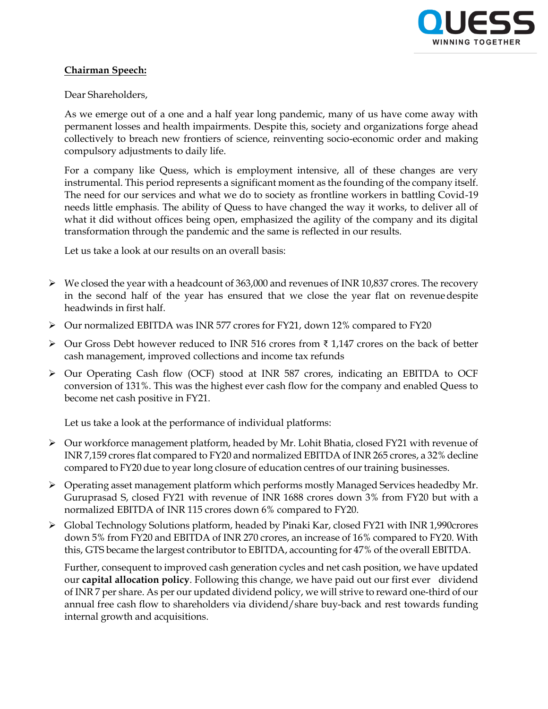

## **Chairman Speech:**

#### Dear Shareholders,

As we emerge out of a one and a half year long pandemic, many of us have come away with permanent losses and health impairments. Despite this, society and organizations forge ahead collectively to breach new frontiers of science, reinventing socio-economic order and making compulsory adjustments to daily life.

For a company like Quess, which is employment intensive, all of these changes are very instrumental. This period represents a significant moment as the founding of the company itself. The need for our services and what we do to society as frontline workers in battling Covid-19 needs little emphasis. The ability of Quess to have changed the way it works, to deliver all of what it did without offices being open, emphasized the agility of the company and its digital transformation through the pandemic and the same is reflected in our results.

Let us take a look at our results on an overall basis:

- $\triangleright$  We closed the year with a headcount of 363,000 and revenues of INR 10,837 crores. The recovery in the second half of the year has ensured that we close the year flat on revenuedespite headwinds in first half.
- Our normalized EBITDA was INR 577 crores for FY21, down 12% compared to FY20
- Our Gross Debt however reduced to INR 516 crores from ₹ 1,147 crores on the back of better cash management, improved collections and income tax refunds
- Our Operating Cash flow (OCF) stood at INR 587 crores, indicating an EBITDA to OCF conversion of 131%. This was the highest ever cash flow for the company and enabled Quess to become net cash positive in FY21.

Let us take a look at the performance of individual platforms:

- Our workforce management platform, headed by Mr. Lohit Bhatia, closed FY21 with revenue of INR 7,159 crores flat compared to FY20 and normalized EBITDA of INR 265 crores, a 32% decline compared to FY20 due to year long closure of education centres of our training businesses.
- Operating asset management platform which performs mostly Managed Services headedby Mr. Guruprasad S, closed FY21 with revenue of INR 1688 crores down 3% from FY20 but with a normalized EBITDA of INR 115 crores down 6% compared to FY20.
- Global Technology Solutions platform, headed by Pinaki Kar, closed FY21 with INR 1,990crores down 5% from FY20 and EBITDA of INR 270 crores, an increase of 16% compared to FY20. With this, GTS became the largest contributor to EBITDA, accounting for 47% of the overall EBITDA.

Further, consequent to improved cash generation cycles and net cash position, we have updated our **capital allocation policy**. Following this change, we have paid out our first ever dividend of INR 7 per share. As per our updated dividend policy, we will strive to reward one-third of our annual free cash flow to shareholders via dividend/share buy-back and rest towards funding internal growth and acquisitions.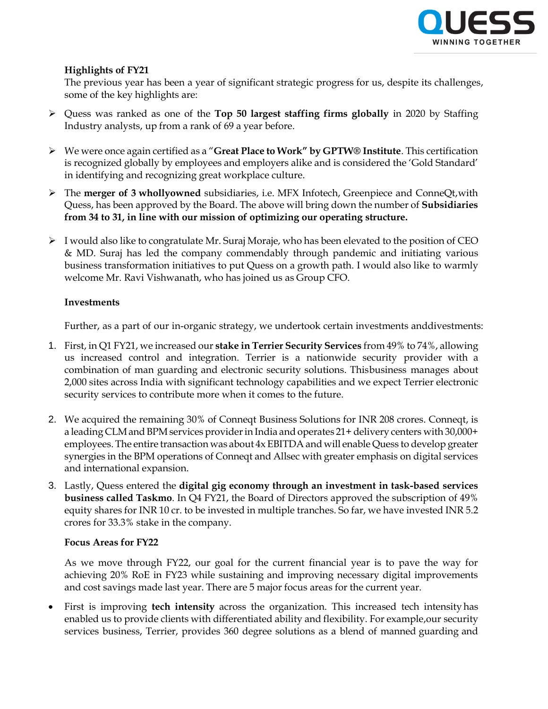

## **Highlights of FY21**

The previous year has been a year of significant strategic progress for us, despite its challenges, some of the key highlights are:

- Quess was ranked as one of the **Top 50 largest staffing firms globally** in 2020 by Staffing Industry analysts, up from a rank of 69 a year before.
- We were once again certified as a "**Great Place to Work" by GPTW® Institute**. This certification is recognized globally by employees and employers alike and is considered the 'Gold Standard' in identifying and recognizing great workplace culture.
- The **merger of 3 whollyowned** subsidiaries, i.e. MFX Infotech, Greenpiece and ConneQt,with Quess, has been approved by the Board. The above will bring down the number of **Subsidiaries from 34 to 31, in line with our mission of optimizing our operating structure.**
- $\triangleright$  I would also like to congratulate Mr. Suraj Moraje, who has been elevated to the position of CEO & MD. Suraj has led the company commendably through pandemic and initiating various business transformation initiatives to put Quess on a growth path. I would also like to warmly welcome Mr. Ravi Vishwanath, who has joined us as Group CFO.

#### **Investments**

Further, as a part of our in-organic strategy, we undertook certain investments anddivestments:

- 1. First, in Q1 FY21, we increased our **stake in Terrier Security Services** from 49% to 74%, allowing us increased control and integration. Terrier is a nationwide security provider with a combination of man guarding and electronic security solutions. Thisbusiness manages about 2,000 sites across India with significant technology capabilities and we expect Terrier electronic security services to contribute more when it comes to the future.
- 2. We acquired the remaining 30% of Conneqt Business Solutions for INR 208 crores. Conneqt, is a leading CLM and BPM services provider in India and operates 21+ delivery centers with 30,000+ employees. The entire transaction was about 4x EBITDA and will enable Quess to develop greater synergies in the BPM operations of Conneqt and Allsec with greater emphasis on digital services and international expansion.
- 3. Lastly, Quess entered the **digital gig economy through an investment in task-based services business called Taskmo**. In Q4 FY21, the Board of Directors approved the subscription of 49% equity shares for INR 10 cr. to be invested in multiple tranches. So far, we have invested INR 5.2 crores for 33.3% stake in the company.

#### **Focus Areas for FY22**

As we move through FY22, our goal for the current financial year is to pave the way for achieving 20% RoE in FY23 while sustaining and improving necessary digital improvements and cost savings made last year. There are 5 major focus areas for the current year.

 First is improving **tech intensity** across the organization. This increased tech intensity has enabled us to provide clients with differentiated ability and flexibility. For example,our security services business, Terrier, provides 360 degree solutions as a blend of manned guarding and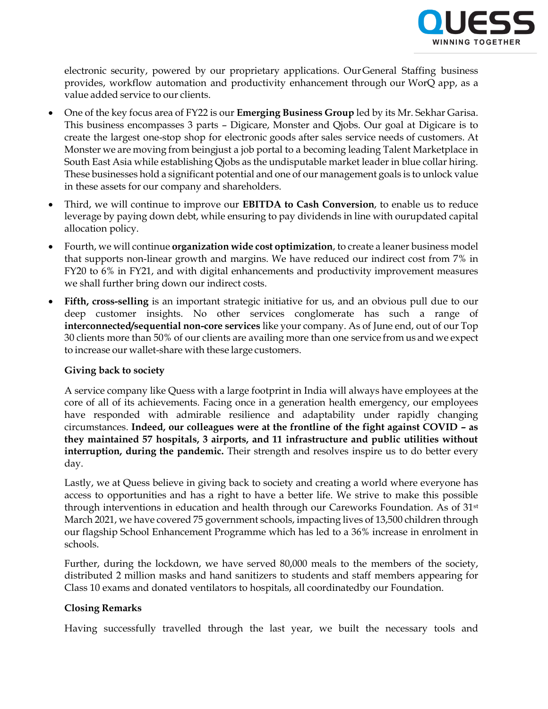

electronic security, powered by our proprietary applications. OurGeneral Staffing business provides, workflow automation and productivity enhancement through our WorQ app, as a value added service to our clients.

- One of the key focus area of FY22 is our **Emerging Business Group** led by its Mr. Sekhar Garisa. This business encompasses 3 parts – Digicare, Monster and Qjobs. Our goal at Digicare is to create the largest one-stop shop for electronic goods after sales service needs of customers. At Monster we are moving from beingjust a job portal to a becoming leading Talent Marketplace in South East Asia while establishing Qjobs as the undisputable market leader in blue collar hiring. These businesses hold a significant potential and one of our management goals is to unlock value in these assets for our company and shareholders.
- Third, we will continue to improve our **EBITDA to Cash Conversion**, to enable us to reduce leverage by paying down debt, while ensuring to pay dividends in line with ourupdated capital allocation policy.
- Fourth, we will continue **organization wide cost optimization**, to create a leaner business model that supports non-linear growth and margins. We have reduced our indirect cost from 7% in FY20 to 6% in FY21, and with digital enhancements and productivity improvement measures we shall further bring down our indirect costs.
- **Fifth, cross-selling** is an important strategic initiative for us, and an obvious pull due to our deep customer insights. No other services conglomerate has such a range of **interconnected/sequential non-core services** like your company. As of June end, out of our Top 30 clients more than 50% of our clients are availing more than one service from us and we expect to increase our wallet-share with these large customers.

## **Giving back to society**

A service company like Quess with a large footprint in India will always have employees at the core of all of its achievements. Facing once in a generation health emergency, our employees have responded with admirable resilience and adaptability under rapidly changing circumstances. **Indeed, our colleagues were at the frontline of the fight against COVID – as they maintained 57 hospitals, 3 airports, and 11 infrastructure and public utilities without interruption, during the pandemic.** Their strength and resolves inspire us to do better every day.

Lastly, we at Quess believe in giving back to society and creating a world where everyone has access to opportunities and has a right to have a better life. We strive to make this possible through interventions in education and health through our Careworks Foundation. As of 31st March 2021, we have covered 75 government schools, impacting lives of 13,500 children through our flagship School Enhancement Programme which has led to a 36% increase in enrolment in schools.

Further, during the lockdown, we have served 80,000 meals to the members of the society, distributed 2 million masks and hand sanitizers to students and staff members appearing for Class 10 exams and donated ventilators to hospitals, all coordinatedby our Foundation.

# **Closing Remarks**

Having successfully travelled through the last year, we built the necessary tools and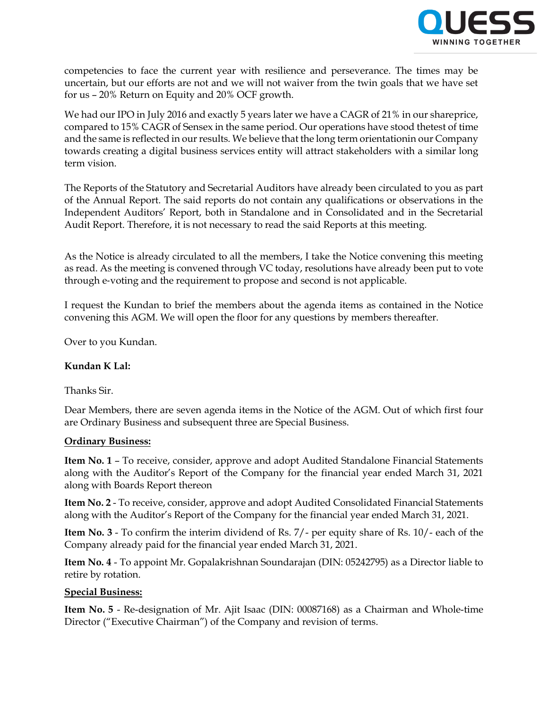

competencies to face the current year with resilience and perseverance. The times may be uncertain, but our efforts are not and we will not waiver from the twin goals that we have set for us – 20% Return on Equity and 20% OCF growth.

We had our IPO in July 2016 and exactly 5 years later we have a CAGR of 21% in our shareprice, compared to 15% CAGR of Sensex in the same period. Our operations have stood thetest of time and the same is reflected in our results. We believe that the long term orientationin our Company towards creating a digital business services entity will attract stakeholders with a similar long term vision.

The Reports of the Statutory and Secretarial Auditors have already been circulated to you as part of the Annual Report. The said reports do not contain any qualifications or observations in the Independent Auditors' Report, both in Standalone and in Consolidated and in the Secretarial Audit Report. Therefore, it is not necessary to read the said Reports at this meeting.

As the Notice is already circulated to all the members, I take the Notice convening this meeting as read. As the meeting is convened through VC today, resolutions have already been put to vote through e‐voting and the requirement to propose and second is not applicable.

I request the Kundan to brief the members about the agenda items as contained in the Notice convening this AGM. We will open the floor for any questions by members thereafter.

Over to you Kundan.

## **Kundan K Lal:**

Thanks Sir.

Dear Members, there are seven agenda items in the Notice of the AGM. Out of which first four are Ordinary Business and subsequent three are Special Business.

## **Ordinary Business:**

**Item No. 1** – To receive, consider, approve and adopt Audited Standalone Financial Statements along with the Auditor's Report of the Company for the financial year ended March 31, 2021 along with Boards Report thereon

**Item No. 2** - To receive, consider, approve and adopt Audited Consolidated Financial Statements along with the Auditor's Report of the Company for the financial year ended March 31, 2021.

**Item No. 3** - To confirm the interim dividend of Rs. 7/- per equity share of Rs. 10/- each of the Company already paid for the financial year ended March 31, 2021.

**Item No. 4** - To appoint Mr. Gopalakrishnan Soundarajan (DIN: 05242795) as a Director liable to retire by rotation.

## **Special Business:**

**Item No. 5** - Re-designation of Mr. Ajit Isaac (DIN: 00087168) as a Chairman and Whole-time Director ("Executive Chairman") of the Company and revision of terms.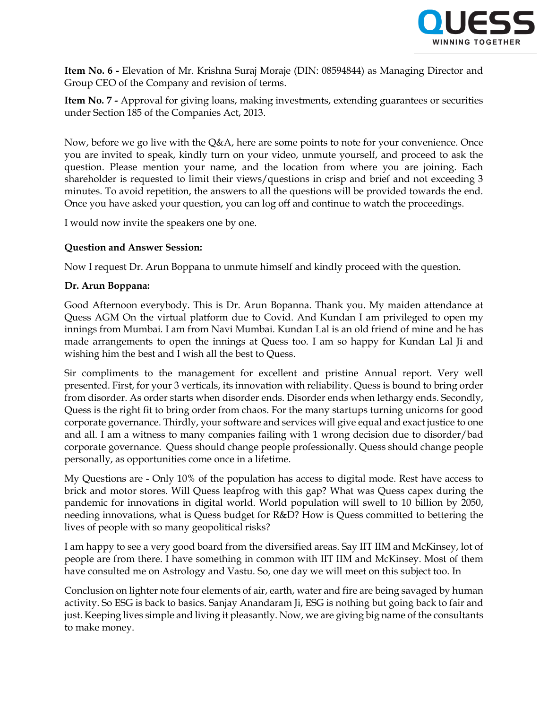

**Item No. 6 -** Elevation of Mr. Krishna Suraj Moraje (DIN: 08594844) as Managing Director and Group CEO of the Company and revision of terms.

**Item No. 7 -** Approval for giving loans, making investments, extending guarantees or securities under Section 185 of the Companies Act, 2013.

Now, before we go live with the Q&A, here are some points to note for your convenience. Once you are invited to speak, kindly turn on your video, unmute yourself, and proceed to ask the question. Please mention your name, and the location from where you are joining. Each shareholder is requested to limit their views/questions in crisp and brief and not exceeding 3 minutes. To avoid repetition, the answers to all the questions will be provided towards the end. Once you have asked your question, you can log off and continue to watch the proceedings.

I would now invite the speakers one by one.

## **Question and Answer Session:**

Now I request Dr. Arun Boppana to unmute himself and kindly proceed with the question.

#### **Dr. Arun Boppana:**

Good Afternoon everybody. This is Dr. Arun Bopanna. Thank you. My maiden attendance at Quess AGM On the virtual platform due to Covid. And Kundan I am privileged to open my innings from Mumbai. I am from Navi Mumbai. Kundan Lal is an old friend of mine and he has made arrangements to open the innings at Quess too. I am so happy for Kundan Lal Ji and wishing him the best and I wish all the best to Quess.

Sir compliments to the management for excellent and pristine Annual report. Very well presented. First, for your 3 verticals, its innovation with reliability. Quess is bound to bring order from disorder. As order starts when disorder ends. Disorder ends when lethargy ends. Secondly, Quess is the right fit to bring order from chaos. For the many startups turning unicorns for good corporate governance. Thirdly, your software and services will give equal and exact justice to one and all. I am a witness to many companies failing with 1 wrong decision due to disorder/bad corporate governance. Quess should change people professionally. Quess should change people personally, as opportunities come once in a lifetime.

My Questions are - Only 10% of the population has access to digital mode. Rest have access to brick and motor stores. Will Quess leapfrog with this gap? What was Quess capex during the pandemic for innovations in digital world. World population will swell to 10 billion by 2050, needing innovations, what is Quess budget for R&D? How is Quess committed to bettering the lives of people with so many geopolitical risks?

I am happy to see a very good board from the diversified areas. Say IIT IIM and McKinsey, lot of people are from there. I have something in common with IIT IIM and McKinsey. Most of them have consulted me on Astrology and Vastu. So, one day we will meet on this subject too. In

Conclusion on lighter note four elements of air, earth, water and fire are being savaged by human activity. So ESG is back to basics. Sanjay Anandaram Ji, ESG is nothing but going back to fair and just. Keeping lives simple and living it pleasantly. Now, we are giving big name of the consultants to make money.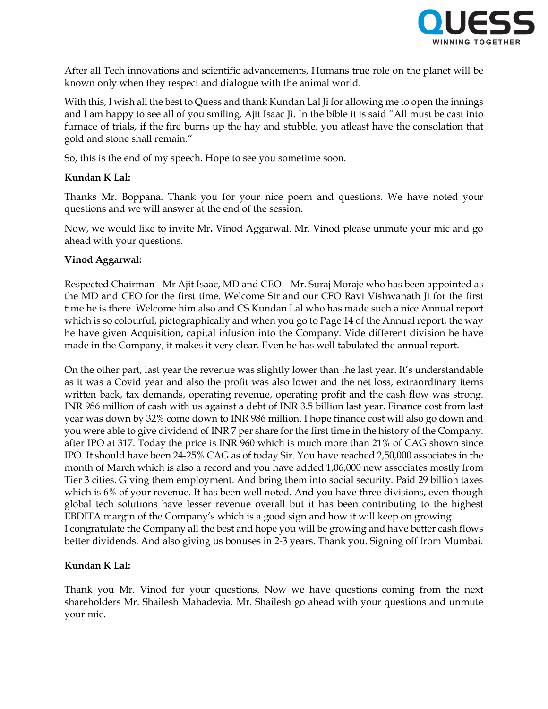

After all Tech innovations and scientific advancements, Humans true role on the planet will be known only when they respect and dialogue with the animal world.

With this, I wish all the best to Quess and thank Kundan Lal Ji for allowing me to open the innings and I am happy to see all of you smiling. Ajit Isaac Ji. In the bible it is said "All must be cast into furnace of trials, if the fire burns up the hay and stubble, you atleast have the consolation that gold and stone shall remain."

So, this is the end of my speech. Hope to see you sometime soon.

# **Kundan K Lal:**

Thanks Mr. Boppana. Thank you for your nice poem and questions. We have noted your questions and we will answer at the end of the session.

Now, we would like to invite Mr**.** Vinod Aggarwal. Mr. Vinod please unmute your mic and go ahead with your questions.

## **Vinod Aggarwal:**

Respected Chairman - Mr Ajit Isaac, MD and CEO – Mr. Suraj Moraje who has been appointed as the MD and CEO for the first time. Welcome Sir and our CFO Ravi Vishwanath Ji for the first time he is there. Welcome him also and CS Kundan Lal who has made such a nice Annual report which is so colourful, pictographically and when you go to Page 14 of the Annual report, the way he have given Acquisition, capital infusion into the Company. Vide different division he have made in the Company, it makes it very clear. Even he has well tabulated the annual report.

On the other part, last year the revenue was slightly lower than the last year. It's understandable as it was a Covid year and also the profit was also lower and the net loss, extraordinary items written back, tax demands, operating revenue, operating profit and the cash flow was strong. INR 986 million of cash with us against a debt of INR 3.5 billion last year. Finance cost from last year was down by 32% come down to INR 986 million. I hope finance cost will also go down and you were able to give dividend of INR 7 per share for the first time in the history of the Company. after IPO at 317. Today the price is INR 960 which is much more than 21% of CAG shown since IPO. It should have been 24-25% CAG as of today Sir. You have reached 2,50,000 associates in the month of March which is also a record and you have added 1,06,000 new associates mostly from Tier 3 cities. Giving them employment. And bring them into social security. Paid 29 billion taxes which is 6% of your revenue. It has been well noted. And you have three divisions, even though global tech solutions have lesser revenue overall but it has been contributing to the highest EBDITA margin of the Company's which is a good sign and how it will keep on growing. I congratulate the Company all the best and hope you will be growing and have better cash flows better dividends. And also giving us bonuses in 2-3 years. Thank you. Signing off from Mumbai.

## **Kundan K Lal:**

Thank you Mr. Vinod for your questions. Now we have questions coming from the next shareholders Mr. Shailesh Mahadevia. Mr. Shailesh go ahead with your questions and unmute your mic.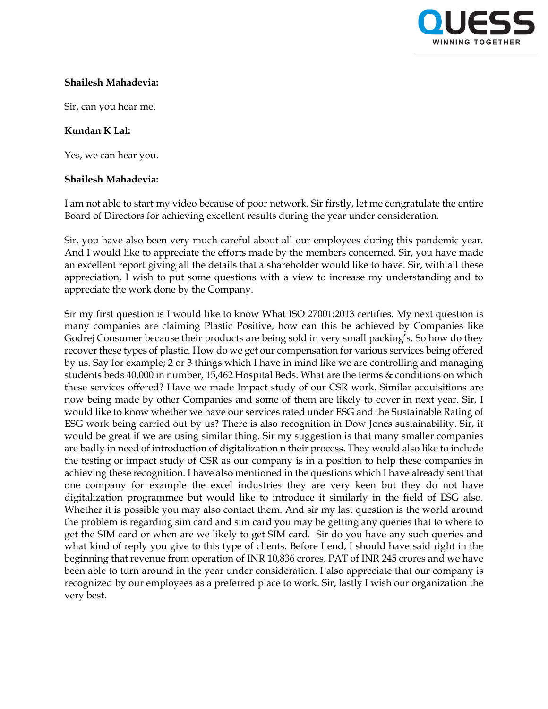

## **Shailesh Mahadevia:**

Sir, can you hear me.

#### **Kundan K Lal:**

Yes, we can hear you.

#### **Shailesh Mahadevia:**

I am not able to start my video because of poor network. Sir firstly, let me congratulate the entire Board of Directors for achieving excellent results during the year under consideration.

Sir, you have also been very much careful about all our employees during this pandemic year. And I would like to appreciate the efforts made by the members concerned. Sir, you have made an excellent report giving all the details that a shareholder would like to have. Sir, with all these appreciation, I wish to put some questions with a view to increase my understanding and to appreciate the work done by the Company.

Sir my first question is I would like to know What ISO 27001:2013 certifies. My next question is many companies are claiming Plastic Positive, how can this be achieved by Companies like Godrej Consumer because their products are being sold in very small packing's. So how do they recover these types of plastic. How do we get our compensation for various services being offered by us. Say for example; 2 or 3 things which I have in mind like we are controlling and managing students beds 40,000 in number, 15,462 Hospital Beds. What are the terms & conditions on which these services offered? Have we made Impact study of our CSR work. Similar acquisitions are now being made by other Companies and some of them are likely to cover in next year. Sir, I would like to know whether we have our services rated under ESG and the Sustainable Rating of ESG work being carried out by us? There is also recognition in Dow Jones sustainability. Sir, it would be great if we are using similar thing. Sir my suggestion is that many smaller companies are badly in need of introduction of digitalization n their process. They would also like to include the testing or impact study of CSR as our company is in a position to help these companies in achieving these recognition. I have also mentioned in the questions which I have already sent that one company for example the excel industries they are very keen but they do not have digitalization programmee but would like to introduce it similarly in the field of ESG also. Whether it is possible you may also contact them. And sir my last question is the world around the problem is regarding sim card and sim card you may be getting any queries that to where to get the SIM card or when are we likely to get SIM card. Sir do you have any such queries and what kind of reply you give to this type of clients. Before I end, I should have said right in the beginning that revenue from operation of INR 10,836 crores, PAT of INR 245 crores and we have been able to turn around in the year under consideration. I also appreciate that our company is recognized by our employees as a preferred place to work. Sir, lastly I wish our organization the very best.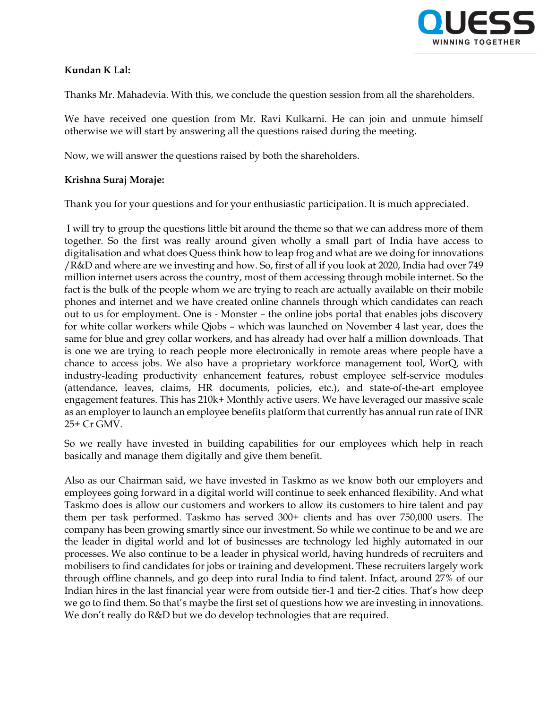

## **Kundan K Lal:**

Thanks Mr. Mahadevia. With this, we conclude the question session from all the shareholders.

We have received one question from Mr. Ravi Kulkarni. He can join and unmute himself otherwise we will start by answering all the questions raised during the meeting.

Now, we will answer the questions raised by both the shareholders.

# **Krishna Suraj Moraje:**

Thank you for your questions and for your enthusiastic participation. It is much appreciated.

I will try to group the questions little bit around the theme so that we can address more of them together. So the first was really around given wholly a small part of India have access to digitalisation and what does Quess think how to leap frog and what are we doing for innovations /R&D and where are we investing and how. So, first of all if you look at 2020, India had over 749 million internet users across the country, most of them accessing through mobile internet. So the fact is the bulk of the people whom we are trying to reach are actually available on their mobile phones and internet and we have created online channels through which candidates can reach out to us for employment. One is - Monster – the online jobs portal that enables jobs discovery for white collar workers while Qjobs – which was launched on November 4 last year, does the same for blue and grey collar workers, and has already had over half a million downloads. That is one we are trying to reach people more electronically in remote areas where people have a chance to access jobs. We also have a proprietary workforce management tool, WorQ, with industry-leading productivity enhancement features, robust employee self-service modules (attendance, leaves, claims, HR documents, policies, etc.), and state-of-the-art employee engagement features. This has 210k+ Monthly active users. We have leveraged our massive scale as an employer to launch an employee benefits platform that currently has annual run rate of INR 25+ Cr GMV.

So we really have invested in building capabilities for our employees which help in reach basically and manage them digitally and give them benefit.

Also as our Chairman said, we have invested in Taskmo as we know both our employers and employees going forward in a digital world will continue to seek enhanced flexibility. And what Taskmo does is allow our customers and workers to allow its customers to hire talent and pay them per task performed. Taskmo has served 300+ clients and has over 750,000 users. The company has been growing smartly since our investment. So while we continue to be and we are the leader in digital world and lot of businesses are technology led highly automated in our processes. We also continue to be a leader in physical world, having hundreds of recruiters and mobilisers to find candidates for jobs or training and development. These recruiters largely work through offline channels, and go deep into rural India to find talent. Infact, around 27% of our Indian hires in the last financial year were from outside tier-1 and tier-2 cities. That's how deep we go to find them. So that's maybe the first set of questions how we are investing in innovations. We don't really do R&D but we do develop technologies that are required.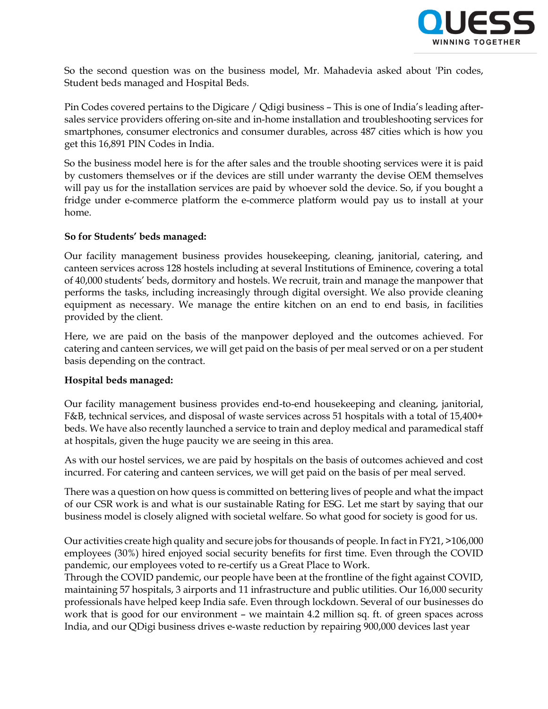

So the second question was on the business model, Mr. Mahadevia asked about 'Pin codes, Student beds managed and Hospital Beds.

Pin Codes covered pertains to the Digicare / Qdigi business – This is one of India's leading aftersales service providers offering on-site and in-home installation and troubleshooting services for smartphones, consumer electronics and consumer durables, across 487 cities which is how you get this 16,891 PIN Codes in India.

So the business model here is for the after sales and the trouble shooting services were it is paid by customers themselves or if the devices are still under warranty the devise OEM themselves will pay us for the installation services are paid by whoever sold the device. So, if you bought a fridge under e-commerce platform the e-commerce platform would pay us to install at your home.

## **So for Students' beds managed:**

Our facility management business provides housekeeping, cleaning, janitorial, catering, and canteen services across 128 hostels including at several Institutions of Eminence, covering a total of 40,000 students' beds, dormitory and hostels. We recruit, train and manage the manpower that performs the tasks, including increasingly through digital oversight. We also provide cleaning equipment as necessary. We manage the entire kitchen on an end to end basis, in facilities provided by the client.

Here, we are paid on the basis of the manpower deployed and the outcomes achieved. For catering and canteen services, we will get paid on the basis of per meal served or on a per student basis depending on the contract.

## **Hospital beds managed:**

Our facility management business provides end-to-end housekeeping and cleaning, janitorial, F&B, technical services, and disposal of waste services across 51 hospitals with a total of 15,400+ beds. We have also recently launched a service to train and deploy medical and paramedical staff at hospitals, given the huge paucity we are seeing in this area.

As with our hostel services, we are paid by hospitals on the basis of outcomes achieved and cost incurred. For catering and canteen services, we will get paid on the basis of per meal served.

There was a question on how quess is committed on bettering lives of people and what the impact of our CSR work is and what is our sustainable Rating for ESG. Let me start by saying that our business model is closely aligned with societal welfare. So what good for society is good for us.

Our activities create high quality and secure jobs for thousands of people. In fact in FY21, >106,000 employees (30%) hired enjoyed social security benefits for first time. Even through the COVID pandemic, our employees voted to re-certify us a Great Place to Work.

Through the COVID pandemic, our people have been at the frontline of the fight against COVID, maintaining 57 hospitals, 3 airports and 11 infrastructure and public utilities. Our 16,000 security professionals have helped keep India safe. Even through lockdown. Several of our businesses do work that is good for our environment – we maintain 4.2 million sq. ft. of green spaces across India, and our QDigi business drives e-waste reduction by repairing 900,000 devices last year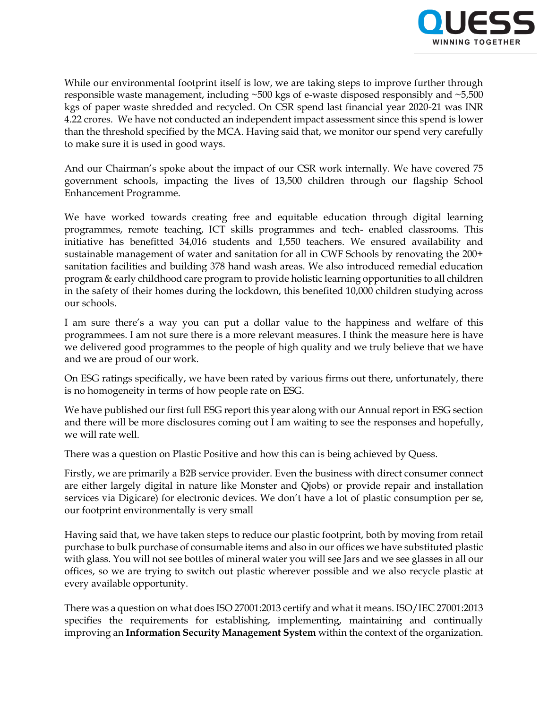

While our environmental footprint itself is low, we are taking steps to improve further through responsible waste management, including ~500 kgs of e-waste disposed responsibly and ~5,500 kgs of paper waste shredded and recycled. On CSR spend last financial year 2020-21 was INR 4.22 crores. We have not conducted an independent impact assessment since this spend is lower than the threshold specified by the MCA. Having said that, we monitor our spend very carefully to make sure it is used in good ways.

And our Chairman's spoke about the impact of our CSR work internally. We have covered 75 government schools, impacting the lives of 13,500 children through our flagship School Enhancement Programme.

We have worked towards creating free and equitable education through digital learning programmes, remote teaching, ICT skills programmes and tech- enabled classrooms. This initiative has benefitted 34,016 students and 1,550 teachers. We ensured availability and sustainable management of water and sanitation for all in CWF Schools by renovating the 200+ sanitation facilities and building 378 hand wash areas. We also introduced remedial education program & early childhood care program to provide holistic learning opportunities to all children in the safety of their homes during the lockdown, this benefited 10,000 children studying across our schools.

I am sure there's a way you can put a dollar value to the happiness and welfare of this programmees. I am not sure there is a more relevant measures. I think the measure here is have we delivered good programmes to the people of high quality and we truly believe that we have and we are proud of our work.

On ESG ratings specifically, we have been rated by various firms out there, unfortunately, there is no homogeneity in terms of how people rate on ESG.

We have published our first full ESG report this year along with our Annual report in ESG section and there will be more disclosures coming out I am waiting to see the responses and hopefully, we will rate well.

There was a question on Plastic Positive and how this can is being achieved by Quess.

Firstly, we are primarily a B2B service provider. Even the business with direct consumer connect are either largely digital in nature like Monster and Qjobs) or provide repair and installation services via Digicare) for electronic devices. We don't have a lot of plastic consumption per se, our footprint environmentally is very small

Having said that, we have taken steps to reduce our plastic footprint, both by moving from retail purchase to bulk purchase of consumable items and also in our offices we have substituted plastic with glass. You will not see bottles of mineral water you will see Jars and we see glasses in all our offices, so we are trying to switch out plastic wherever possible and we also recycle plastic at every available opportunity.

There was a question on what does ISO 27001:2013 certify and what it means. ISO/IEC 27001:2013 specifies the requirements for establishing, implementing, maintaining and continually improving an **Information Security Management System** within the context of the organization.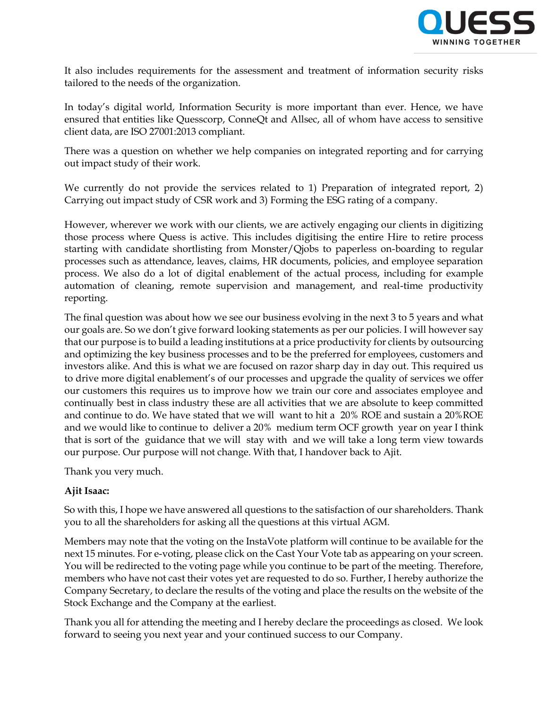

It also includes requirements for the assessment and treatment of information security risks tailored to the needs of the organization.

In today's digital world, Information Security is more important than ever. Hence, we have ensured that entities like Quesscorp, ConneQt and Allsec, all of whom have access to sensitive client data, are ISO 27001:2013 compliant.

There was a question on whether we help companies on integrated reporting and for carrying out impact study of their work.

We currently do not provide the services related to 1) Preparation of integrated report, 2) Carrying out impact study of CSR work and 3) Forming the ESG rating of a company.

However, wherever we work with our clients, we are actively engaging our clients in digitizing those process where Quess is active. This includes digitising the entire Hire to retire process starting with candidate shortlisting from Monster/Qjobs to paperless on-boarding to regular processes such as attendance, leaves, claims, HR documents, policies, and employee separation process. We also do a lot of digital enablement of the actual process, including for example automation of cleaning, remote supervision and management, and real-time productivity reporting.

The final question was about how we see our business evolving in the next 3 to 5 years and what our goals are. So we don't give forward looking statements as per our policies. I will however say that our purpose is to build a leading institutions at a price productivity for clients by outsourcing and optimizing the key business processes and to be the preferred for employees, customers and investors alike. And this is what we are focused on razor sharp day in day out. This required us to drive more digital enablement's of our processes and upgrade the quality of services we offer our customers this requires us to improve how we train our core and associates employee and continually best in class industry these are all activities that we are absolute to keep committed and continue to do. We have stated that we will want to hit a 20% ROE and sustain a 20%ROE and we would like to continue to deliver a 20% medium term OCF growth year on year I think that is sort of the guidance that we will stay with and we will take a long term view towards our purpose. Our purpose will not change. With that, I handover back to Ajit.

Thank you very much.

# **Ajit Isaac:**

So with this, I hope we have answered all questions to the satisfaction of our shareholders. Thank you to all the shareholders for asking all the questions at this virtual AGM.

Members may note that the voting on the InstaVote platform will continue to be available for the next 15 minutes. For e-voting, please click on the Cast Your Vote tab as appearing on your screen. You will be redirected to the voting page while you continue to be part of the meeting. Therefore, members who have not cast their votes yet are requested to do so. Further, I hereby authorize the Company Secretary, to declare the results of the voting and place the results on the website of the Stock Exchange and the Company at the earliest.

Thank you all for attending the meeting and I hereby declare the proceedings as closed. We look forward to seeing you next year and your continued success to our Company.